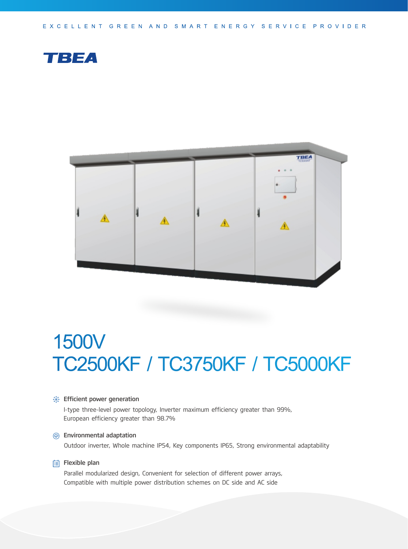EXCELLENT GREEN AND SMART ENERGY SERVICE PROVIDER





# 1500V TC2500KF / TC3750KF / TC5000KF

### **Section** Financeurier generation

I-type three-level power topology, Inverter maximum efficiency greater than 99%, European efficiency greater than 98.7%

### Environmental adaptation

Outdoor inverter, Whole machine IP54, Key components IP65, Strong environmental adaptability

#### $\Box$  Flexible plan

Parallel modularized design, Convenient for selection of different power arrays, Compatible with multiple power distribution schemes on DC side and AC side